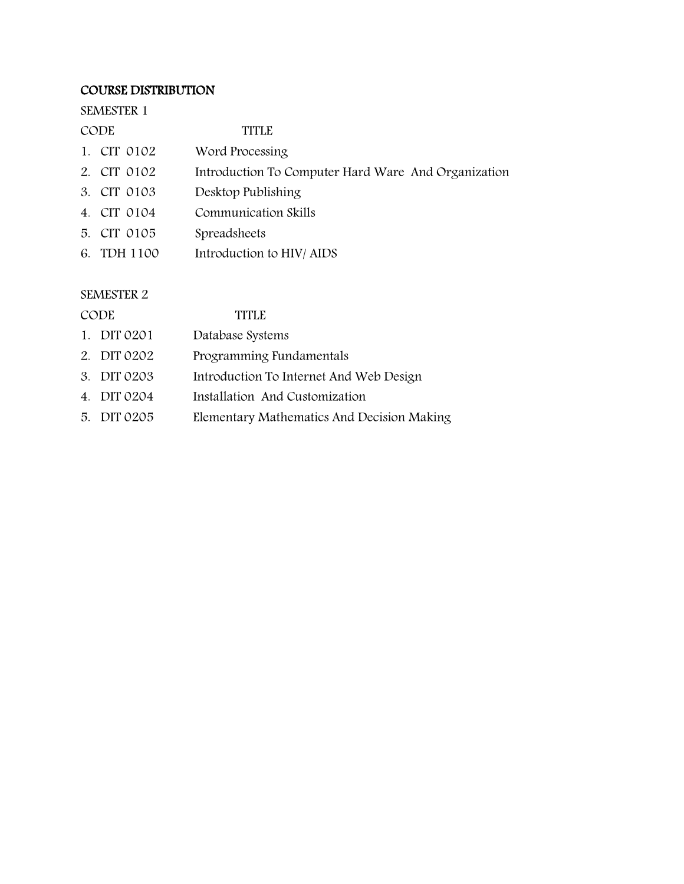#### COURSE DISTRIBUTION

SEMESTER 1

| CODE |             | <b>TITLE</b>                                        |
|------|-------------|-----------------------------------------------------|
|      | 1. CIT 0102 | Word Processing                                     |
|      | 2. CIT 0102 | Introduction To Computer Hard Ware And Organization |
|      | 3. CIT 0103 | Desktop Publishing                                  |
|      | 4. CIT 0104 | Communication Skills                                |
|      | 5. CIT 0105 | Spreadsheets                                        |
|      | 6. TDH 1100 | Introduction to HIV/ AIDS                           |
|      |             |                                                     |

#### SEMESTER 2

#### CODE TITLE

- 1. DIT 0201 Database Systems
- 2. DIT 0202 Programming Fundamentals
- 3. DIT 0203 Introduction To Internet And Web Design
- 4. DIT 0204 Installation And Customization
- 5. DIT 0205 Elementary Mathematics And Decision Making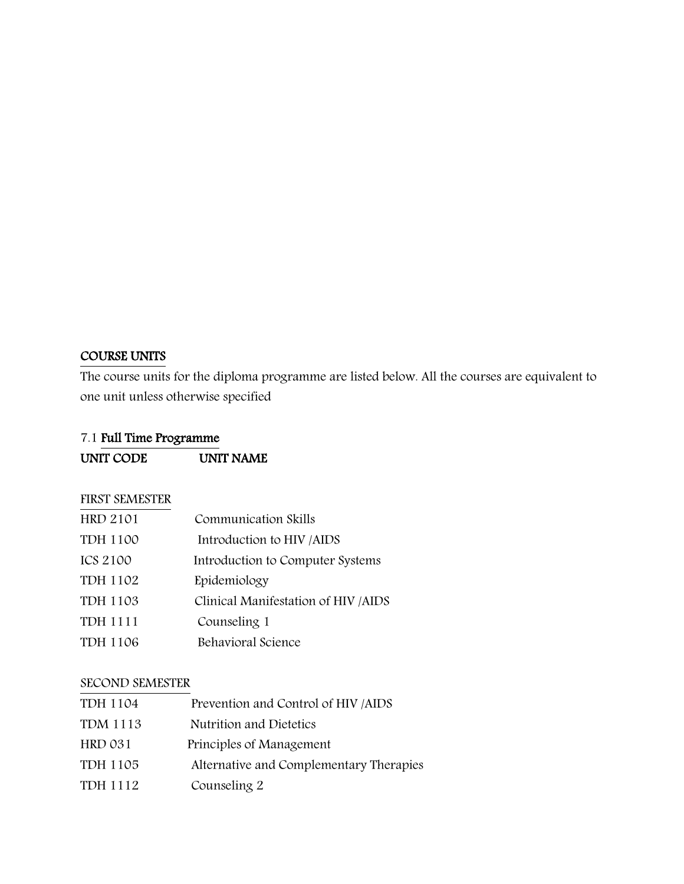## COURSE UNITS

The course units for the diploma programme are listed below. All the courses are equivalent to one unit unless otherwise specified

# 7.1 Full Time Programme

# UNIT CODE UNIT NAME

### FIRST SEMESTER

| <b>HRD 2101</b> | Communication Skills                 |
|-----------------|--------------------------------------|
| <b>TDH 1100</b> | Introduction to HIV/AIDS             |
| ICS 2100        | Introduction to Computer Systems     |
| <b>TDH 1102</b> | Epidemiology                         |
| <b>TDH 1103</b> | Clinical Manifestation of HIV / AIDS |
| <b>TDH 1111</b> | Counseling 1                         |
| <b>TDH 1106</b> | Behavioral Science                   |
|                 |                                      |

# SECOND SEMESTER

| <b>TDH 1104</b> | Prevention and Control of HIV /AIDS     |
|-----------------|-----------------------------------------|
| <b>TDM 1113</b> | Nutrition and Dietetics                 |
| <b>HRD 031</b>  | Principles of Management                |
| <b>TDH 1105</b> | Alternative and Complementary Therapies |
| <b>TDH 1112</b> | Counseling 2                            |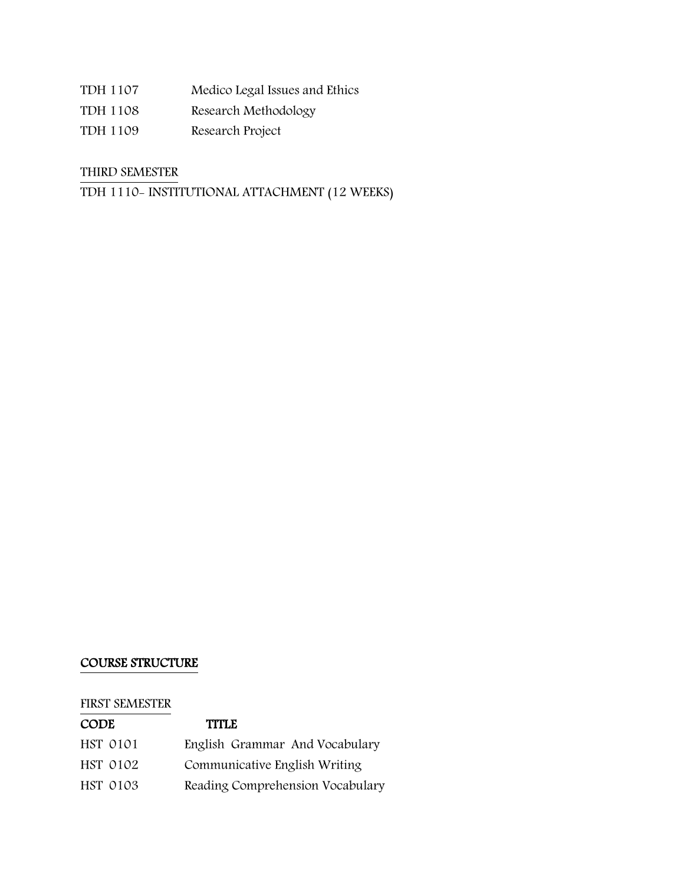- TDH 1107 Medico Legal Issues and Ethics
- TDH 1108 Research Methodology
- TDH 1109 Research Project

#### THIRD SEMESTER

TDH 1110- INSTITUTIONAL ATTACHMENT (12 WEEKS)

## COURSE STRUCTURE

#### FIRST SEMESTER

| <b>CODE</b>     | <b>TITLE</b>                     |
|-----------------|----------------------------------|
| HST 0101        | English Grammar And Vocabulary   |
| <b>HST 0102</b> | Communicative English Writing    |
| <b>HST 0103</b> | Reading Comprehension Vocabulary |